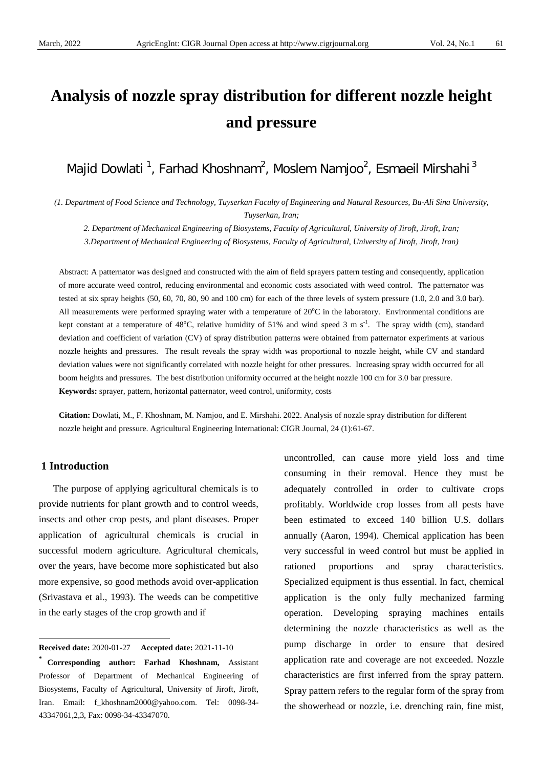# **Analysis of nozzle spray distribution for different nozzle height and pressure**

Majid Dowlati <sup>1</sup>, Farhad Khoshnam<sup>2</sup>, Moslem Namjoo<sup>2</sup>, Esmaeil Mirshahi <sup>3</sup>

*(1. Department of Food Science and Technology, Tuyserkan Faculty of Engineering and Natural Resources, Bu-Ali Sina University, Tuyserkan, Iran;*

*2. Department of Mechanical Engineering of Biosystems, Faculty of Agricultural, University of Jiroft, Jiroft, Iran;*

*3.Department of Mechanical Engineering of Biosystems, Faculty of Agricultural, University of Jiroft, Jiroft, Iran)*

Abstract: A patternator was designed and constructed with the aim of field sprayers pattern testing and consequently, application of more accurate weed control, reducing environmental and economic costs associated with weed control. The patternator was tested at six spray heights (50, 60, 70, 80, 90 and 100 cm) for each of the three levels of system pressure (1.0, 2.0 and 3.0 bar). All measurements were performed spraying water with a temperature of  $20^{\circ}$ C in the laboratory. Environmental conditions are kept constant at a temperature of 48<sup>o</sup>C, relative humidity of 51% and wind speed 3 m s<sup>-1</sup>. The spray width (cm), standard deviation and coefficient of variation (CV) of spray distribution patterns were obtained from patternator experiments at various nozzle heights and pressures. The result reveals the spray width was proportional to nozzle height, while CV and standard deviation values were not significantly correlated with nozzle height for other pressures. Increasing spray width occurred for all boom heights and pressures. The best distribution uniformity occurred at the height nozzle 100 cm for 3.0 bar pressure. **Keywords:** sprayer, pattern, horizontal patternator, weed control, uniformity, costs

**Citation:** Dowlati, M., F. Khoshnam, M. Namjoo, and E. Mirshahi. 2022. Analysis of nozzle spray distribution for different nozzle height and pressure. Agricultural Engineering International: CIGR Journal, 24 (1):61-67.

### **1 Introduction**

 $\overline{a}$ 

The purpose of applying agricultural chemicals is to provide nutrients for plant growth and to control weeds, insects and other crop pests, and plant diseases. Proper application of agricultural chemicals is crucial in successful modern agriculture. Agricultural chemicals, over the years, have become more sophisticated but also more expensive, so good methods avoid over-application (Srivastava et al., 1993). The weeds can be competitive in the early stages of the crop growth and if

uncontrolled, can cause more yield loss and time consuming in their removal. Hence they must be adequately controlled in order to cultivate crops profitably. Worldwide crop losses from all pests have been estimated to exceed 140 billion U.S. dollars annually (Aaron, 1994). Chemical application has been very successful in weed control but must be applied in rationed proportions and spray characteristics. Specialized equipment is thus essential. In fact, chemical application is the only fully mechanized farming operation. Developing spraying machines entails determining the nozzle characteristics as well as the pump discharge in order to ensure that desired application rate and coverage are not exceeded. Nozzle characteristics are first inferred from the spray pattern. Spray pattern refers to the regular form of the spray from the showerhead or nozzle, i.e. drenching rain, fine mist,

<span id="page-0-0"></span>**Received date:** 2020-01-27 **Accepted date:** 2021-11-10

**<sup>\*</sup> Corresponding author: Farhad Khoshnam,** Assistant Professor of Department of Mechanical Engineering of Biosystems, Faculty of Agricultural, University of Jiroft, Jiroft, Iran. Email: f\_khoshnam2000@yahoo.com. Tel: [0098-34-](Tel:XXXXXXX) [43347061,2,3,](Tel:XXXXXXX) Fax: 0098-34-43347070.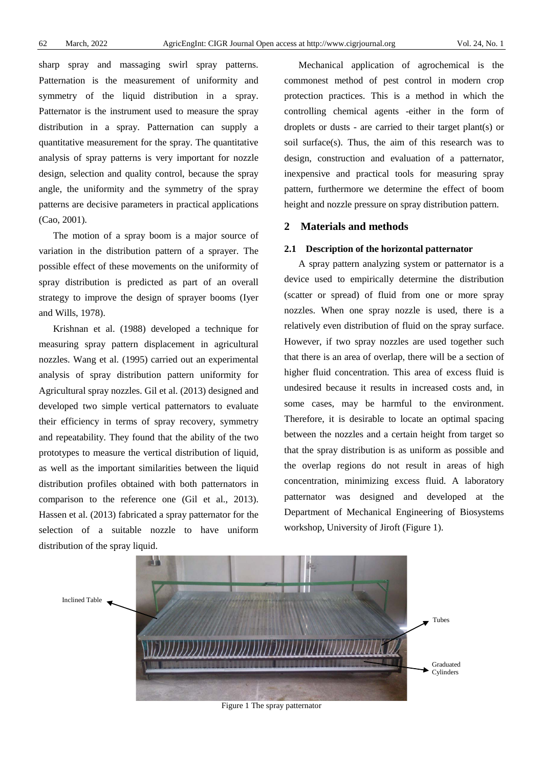sharp spray and massaging swirl spray patterns. Patternation is the measurement of uniformity and symmetry of the liquid distribution in a spray. Patternator is the instrument used to measure the spray distribution in a spray. Patternation can supply a quantitative measurement for the spray. The quantitative analysis of spray patterns is very important for nozzle design, selection and quality control, because the spray angle, the uniformity and the symmetry of the spray patterns are decisive parameters in practical applications (Cao, 2001).

The motion of a spray boom is a major source of variation in the distribution pattern of a sprayer. The possible effect of these movements on the uniformity of spray distribution is predicted as part of an overall strategy to improve the design of sprayer booms (Iyer and Wills, 1978).

Krishnan et al. (1988) developed a technique for measuring spray pattern displacement in agricultural nozzles. Wang et al. (1995) carried out an experimental analysis of spray distribution pattern uniformity for Agricultural spray nozzles. Gil et al. (2013) designed and developed two simple vertical patternators to evaluate their efficiency in terms of spray recovery, symmetry and repeatability. They found that the ability of the two prototypes to measure the vertical distribution of liquid, as well as the important similarities between the liquid distribution profiles obtained with both patternators in comparison to the reference one (Gil et al., 2013). Hassen et al. (2013) fabricated a spray patternator for the selection of a suitable nozzle to have uniform distribution of the spray liquid.

Mechanical application of agrochemical is the commonest method of pest control in modern crop protection practices. This is a method in which the controlling chemical agents -either in the form of droplets or dusts - are carried to their target plant(s) or soil surface(s). Thus, the aim of this research was to design, construction and evaluation of a patternator, inexpensive and practical tools for measuring spray pattern, furthermore we determine the effect of boom height and nozzle pressure on spray distribution pattern.

## **2 Materials and methods**

#### **2.1 Description of the horizontal patternator**

A spray pattern analyzing system or patternator is a device used to empirically determine the distribution (scatter or spread) of fluid from one or more spray nozzles. When one spray nozzle is used, there is a relatively even distribution of fluid on the spray surface. However, if two spray nozzles are used together such that there is an area of overlap, there will be a section of higher fluid concentration. This area of excess fluid is undesired because it results in increased costs and, in some cases, may be harmful to the environment. Therefore, it is desirable to locate an optimal spacing between the nozzles and a certain height from target so that the spray distribution is as uniform as possible and the overlap regions do not result in areas of high concentration, minimizing excess fluid. A laboratory patternator was designed and developed at the Department of Mechanical Engineering of Biosystems workshop, University of Jiroft (Figure 1).



Figure 1 The spray patternator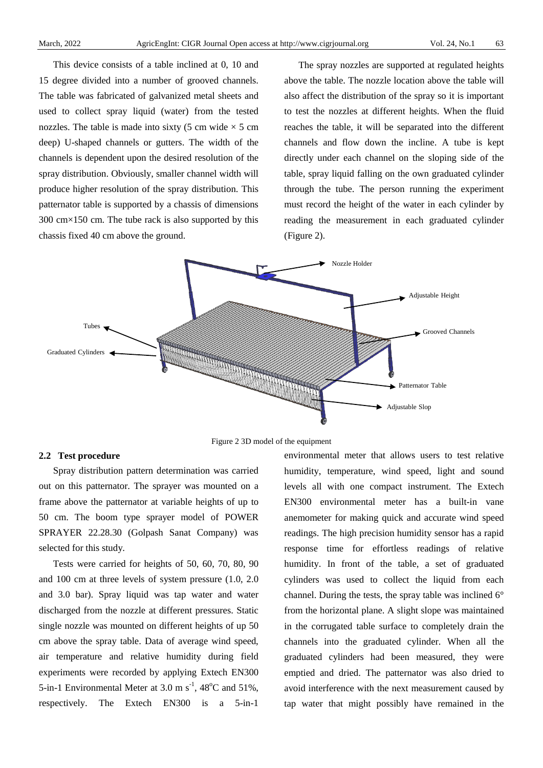This device consists of a table inclined at 0, 10 and 15 degree divided into a number of grooved channels. The table was fabricated of galvanized metal sheets and used to collect spray liquid (water) from the tested nozzles. The table is made into sixty (5 cm wide  $\times$  5 cm deep) U-shaped channels or gutters. The width of the channels is dependent upon the desired resolution of the spray distribution. Obviously, smaller channel width will produce higher resolution of the spray distribution. This patternator table is supported by a chassis of dimensions 300 cm×150 cm. The tube rack is also supported by this chassis fixed 40 cm above the ground.

The spray nozzles are supported at regulated heights above the table. The nozzle location above the table will also affect the distribution of the spray so it is important to test the nozzles at different heights. When the fluid reaches the table, it will be separated into the different channels and flow down the incline. A tube is kept directly under each channel on the sloping side of the table, spray liquid falling on the own graduated cylinder through the tube. The person running the experiment must record the height of the water in each cylinder by reading the measurement in each graduated cylinder (Figure 2).



Figure 2 3D model of the equipment

#### **2.2 Test procedure**

Spray distribution pattern determination was carried out on this patternator. The sprayer was mounted on a frame above the patternator at variable heights of up to 50 cm. The boom type sprayer model of POWER SPRAYER 22.28.30 (Golpash Sanat Company) was selected for this study.

Tests were carried for heights of 50, 60, 70, 80, 90 and 100 cm at three levels of system pressure (1.0, 2.0 and 3.0 bar). Spray liquid was tap water and water discharged from the nozzle at different pressures. Static single nozzle was mounted on different heights of up 50 cm above the spray table. Data of average wind speed, air temperature and relative humidity during field experiments were recorded by applying Extech EN300 5-in-1 Environmental Meter at 3.0 m  $s^{-1}$ , 48<sup>o</sup>C and 51%, respectively. The Extech EN300 is a 5-in-1

environmental meter that allows users to test relative humidity, temperature, wind speed, light and sound levels all with one compact instrument. The Extech EN300 environmental meter has a built-in vane anemometer for making quick and accurate wind speed readings. The high precision humidity sensor has a rapid response time for effortless readings of relative humidity. In front of the table, a set of graduated cylinders was used to collect the liquid from each channel. During the tests, the spray table was inclined 6° from the horizontal plane. A slight slope was maintained in the corrugated table surface to completely drain the channels into the graduated cylinder. When all the graduated cylinders had been measured, they were emptied and dried. The patternator was also dried to avoid interference with the next measurement caused by tap water that might possibly have remained in the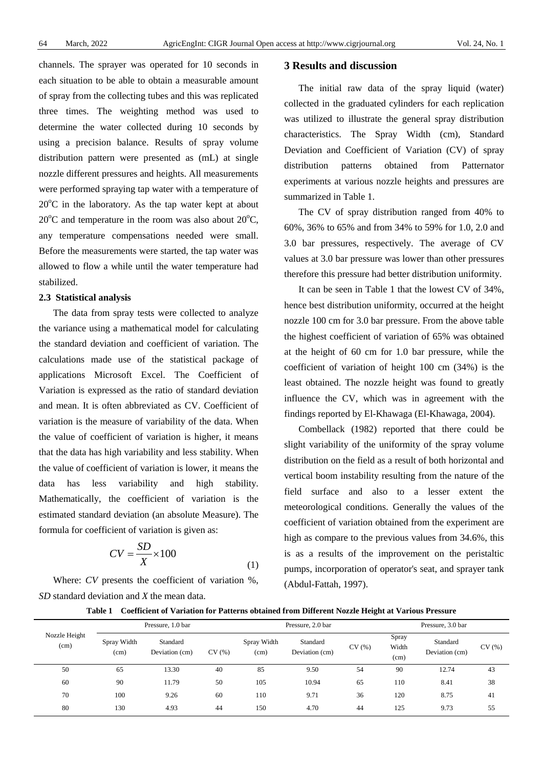channels. The sprayer was operated for 10 seconds in each situation to be able to obtain a measurable amount of spray from the collecting tubes and this was replicated three times. The weighting method was used to determine the water collected during 10 seconds by using a precision balance. Results of spray volume distribution pattern were presented as (mL) at single nozzle different pressures and heights. All measurements were performed spraying tap water with a temperature of  $20^{\circ}$ C in the laboratory. As the tap water kept at about  $20^{\circ}$ C and temperature in the room was also about  $20^{\circ}$ C, any temperature compensations needed were small. Before the measurements were started, the tap water was allowed to flow a while until the water temperature had stabilized.

#### **2.3 Statistical analysis**

The data from spray tests were collected to analyze the variance using a mathematical model for calculating the standard deviation and coefficient of variation. The calculations made use of the statistical package of applications Microsoft Excel. The Coefficient of Variation is expressed as the ratio of standard deviation and mean. It is often abbreviated as CV. Coefficient of variation is the measure of variability of the data. When the value of coefficient of variation is higher, it means that the data has high variability and less stability. When the value of coefficient of variation is lower, it means the data has less variability and high stability. Mathematically, the coefficient of variation is the estimated standard deviation (an absolute Measure). The formula for coefficient of variation is given as:

$$
CV = \frac{SD}{X} \times 100\tag{1}
$$

Where: *CV* presents the coefficient of variation %, *SD* standard deviation and *X* the mean data.

## **3 Results and discussion**

The initial raw data of the spray liquid (water) collected in the graduated cylinders for each replication was utilized to illustrate the general spray distribution characteristics. The Spray Width (cm), Standard Deviation and Coefficient of Variation (CV) of spray distribution patterns obtained from Patternator experiments at various nozzle heights and pressures are summarized in Table 1.

The CV of spray distribution ranged from 40% to 60%, 36% to 65% and from 34% to 59% for 1.0, 2.0 and 3.0 bar pressures, respectively. The average of CV values at 3.0 bar pressure was lower than other pressures therefore this pressure had better distribution uniformity.

It can be seen in Table 1 that the lowest CV of 34%, hence best distribution uniformity, occurred at the height nozzle 100 cm for 3.0 bar pressure. From the above table the highest coefficient of variation of 65% was obtained at the height of 60 cm for 1.0 bar pressure, while the coefficient of variation of height 100 cm (34%) is the least obtained. The nozzle height was found to greatly influence the CV, which was in agreement with the findings reported by El-Khawaga (El-Khawaga, 2004).

Combellack (1982) reported that there could be slight variability of the uniformity of the spray volume distribution on the field as a result of both horizontal and vertical boom instability resulting from the nature of the field surface and also to a lesser extent the meteorological conditions. Generally the values of the coefficient of variation obtained from the experiment are high as compare to the previous values from 34.6%, this is as a results of the improvement on the peristaltic pumps, incorporation of operator's seat, and sprayer tank (Abdul-Fattah, 1997).

|  | Table 1 Coefficient of Variation for Patterns obtained from Different Nozzle Height at Various Pressure |  |  |  |  |  |  |  |  |  |
|--|---------------------------------------------------------------------------------------------------------|--|--|--|--|--|--|--|--|--|
|--|---------------------------------------------------------------------------------------------------------|--|--|--|--|--|--|--|--|--|

|                       | Pressure, 1.0 bar   |                            |       |                     | Pressure, 2.0 bar          | Pressure, 3.0 bar |                        |                            |       |
|-----------------------|---------------------|----------------------------|-------|---------------------|----------------------------|-------------------|------------------------|----------------------------|-------|
| Nozzle Height<br>(cm) | Spray Width<br>(cm) | Standard<br>Deviation (cm) | CV(%) | Spray Width<br>(cm) | Standard<br>Deviation (cm) | CV(%)             | Spray<br>Width<br>(cm) | Standard<br>Deviation (cm) | CV(%) |
| 50                    | 65                  | 13.30                      | 40    | 85                  | 9.50                       | 54                | 90                     | 12.74                      | 43    |
| 60                    | 90                  | 11.79                      | 50    | 105                 | 10.94                      | 65                | 110                    | 8.41                       | 38    |
| 70                    | 100                 | 9.26                       | 60    | 110                 | 9.71                       | 36                | 120                    | 8.75                       | 41    |
| 80                    | 130                 | 4.93                       | 44    | 150                 | 4.70                       | 44                | 125                    | 9.73                       | 55    |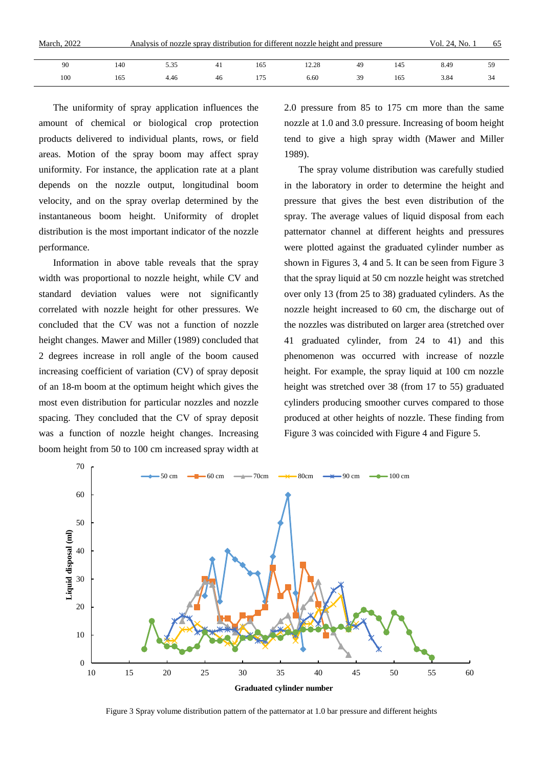| March, 2022 | Analysis of nozzle spray distribution for different nozzle height and pressure | Vol. 24, No. 1 | ნა  |     |       |    |     |      |    |
|-------------|--------------------------------------------------------------------------------|----------------|-----|-----|-------|----|-----|------|----|
|             |                                                                                |                |     |     |       |    |     |      |    |
| 90          | 140                                                                            | 5.35           | -41 | 165 | .2.28 | 49 | 145 | 8.49 | 59 |
| 100         | 165                                                                            | 4.46           | 46  |     | 6.60  | 39 | 165 | 3.84 | 34 |

The uniformity of spray application influences the amount of chemical or biological crop protection products delivered to individual plants, rows, or field areas. Motion of the spray boom may affect spray uniformity. For instance, the application rate at a plant depends on the nozzle output, longitudinal boom velocity, and on the spray overlap determined by the instantaneous boom height. Uniformity of droplet distribution is the most important indicator of the nozzle performance.

Information in above table reveals that the spray width was proportional to nozzle height, while CV and standard deviation values were not significantly correlated with nozzle height for other pressures. We concluded that the CV was not a function of nozzle height changes. Mawer and Miller (1989) concluded that 2 degrees increase in roll angle of the boom caused increasing coefficient of variation (CV) of spray deposit of an 18-m boom at the optimum height which gives the most even distribution for particular nozzles and nozzle spacing. They concluded that the CV of spray deposit was a function of nozzle height changes. Increasing boom height from 50 to 100 cm increased spray width at

2.0 pressure from 85 to 175 cm more than the same nozzle at 1.0 and 3.0 pressure. Increasing of boom height tend to give a high spray width (Mawer and Miller 1989).

The spray volume distribution was carefully studied in the laboratory in order to determine the height and pressure that gives the best even distribution of the spray. The average values of liquid disposal from each patternator channel at different heights and pressures were plotted against the graduated cylinder number as shown in Figures 3, 4 and 5. It can be seen from Figure 3 that the spray liquid at 50 cm nozzle height was stretched over only 13 (from 25 to 38) graduated cylinders. As the nozzle height increased to 60 cm, the discharge out of the nozzles was distributed on larger area (stretched over 41 graduated cylinder, from 24 to 41) and this phenomenon was occurred with increase of nozzle height. For example, the spray liquid at 100 cm nozzle height was stretched over 38 (from 17 to 55) graduated cylinders producing smoother curves compared to those produced at other heights of nozzle. These finding from Figure 3 was coincided with Figure 4 and Figure 5.



Figure 3 Spray volume distribution pattern of the patternator at 1.0 bar pressure and different heights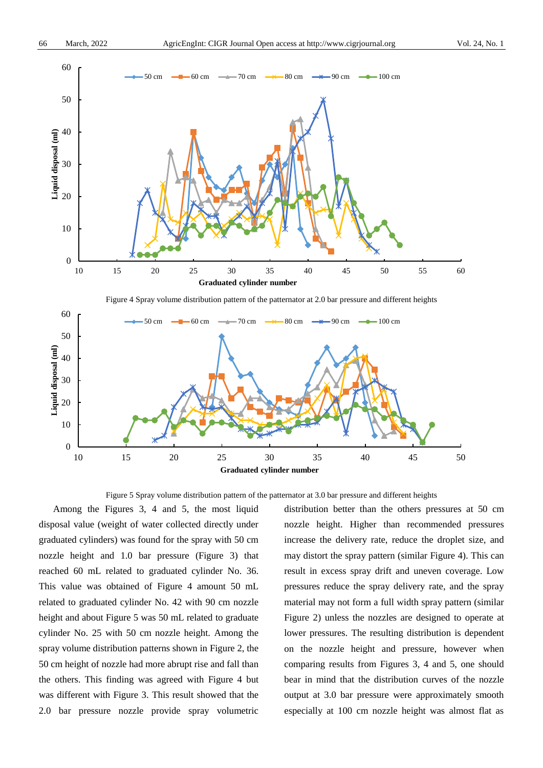

Figure 4 Spray volume distribution pattern of the patternator at 2.0 bar pressure and different heights



Figure 5 Spray volume distribution pattern of the patternator at 3.0 bar pressure and different heights

Among the Figures 3, 4 and 5, the most liquid disposal value (weight of water collected directly under graduated cylinders) was found for the spray with 50 cm nozzle height and 1.0 bar pressure (Figure 3) that reached 60 mL related to graduated cylinder No. 36. This value was obtained of Figure 4 amount 50 mL related to graduated cylinder No. 42 with 90 cm nozzle height and about Figure 5 was 50 mL related to graduate cylinder No. 25 with 50 cm nozzle height. Among the spray volume distribution patterns shown in Figure 2, the 50 cm height of nozzle had more abrupt rise and fall than the others. This finding was agreed with Figure 4 but was different with Figure 3. This result showed that the 2.0 bar pressure nozzle provide spray volumetric

distribution better than the others pressures at 50 cm nozzle height. Higher than recommended pressures increase the delivery rate, reduce the droplet size, and may distort the spray pattern (similar Figure 4). This can result in excess spray drift and uneven coverage. Low pressures reduce the spray delivery rate, and the spray material may not form a full width spray pattern (similar Figure 2) unless the nozzles are designed to operate at lower pressures. The resulting distribution is dependent on the nozzle height and pressure, however when comparing results from Figures 3, 4 and 5, one should bear in mind that the distribution curves of the nozzle output at 3.0 bar pressure were approximately smooth especially at 100 cm nozzle height was almost flat as